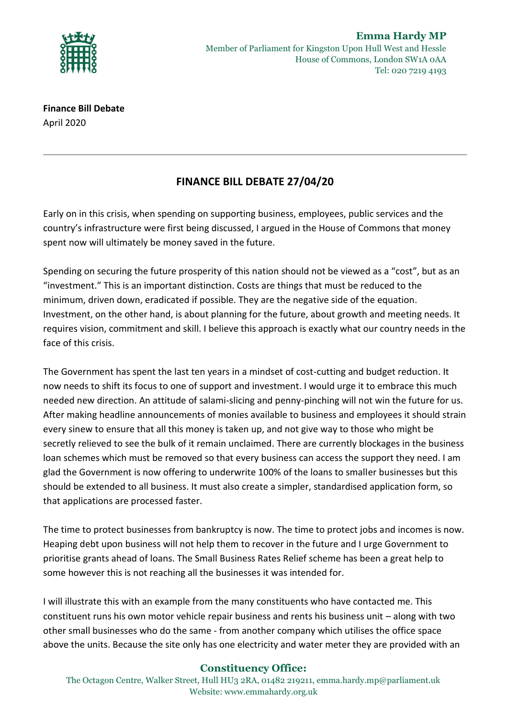

**Finance Bill Debate** April 2020

## **FINANCE BILL DEBATE 27/04/20**

Early on in this crisis, when spending on supporting business, employees, public services and the country's infrastructure were first being discussed, I argued in the House of Commons that money spent now will ultimately be money saved in the future.

Spending on securing the future prosperity of this nation should not be viewed as a "cost", but as an "investment." This is an important distinction. Costs are things that must be reduced to the minimum, driven down, eradicated if possible. They are the negative side of the equation. Investment, on the other hand, is about planning for the future, about growth and meeting needs. It requires vision, commitment and skill. I believe this approach is exactly what our country needs in the face of this crisis.

The Government has spent the last ten years in a mindset of cost-cutting and budget reduction. It now needs to shift its focus to one of support and investment. I would urge it to embrace this much needed new direction. An attitude of salami-slicing and penny-pinching will not win the future for us. After making headline announcements of monies available to business and employees it should strain every sinew to ensure that all this money is taken up, and not give way to those who might be secretly relieved to see the bulk of it remain unclaimed. There are currently blockages in the business loan schemes which must be removed so that every business can access the support they need. I am glad the Government is now offering to underwrite 100% of the loans to smaller businesses but this should be extended to all business. It must also create a simpler, standardised application form, so that applications are processed faster.

The time to protect businesses from bankruptcy is now. The time to protect jobs and incomes is now. Heaping debt upon business will not help them to recover in the future and I urge Government to prioritise grants ahead of loans. The Small Business Rates Relief scheme has been a great help to some however this is not reaching all the businesses it was intended for.

I will illustrate this with an example from the many constituents who have contacted me. This constituent runs his own motor vehicle repair business and rents his business unit – along with two other small businesses who do the same - from another company which utilises the office space above the units. Because the site only has one electricity and water meter they are provided with an

## **Constituency Office:**

The Octagon Centre, Walker Street, Hull HU3 2RA, 01482 219211, emma.hardy.mp@parliament.uk Website: www.emmahardy.org.uk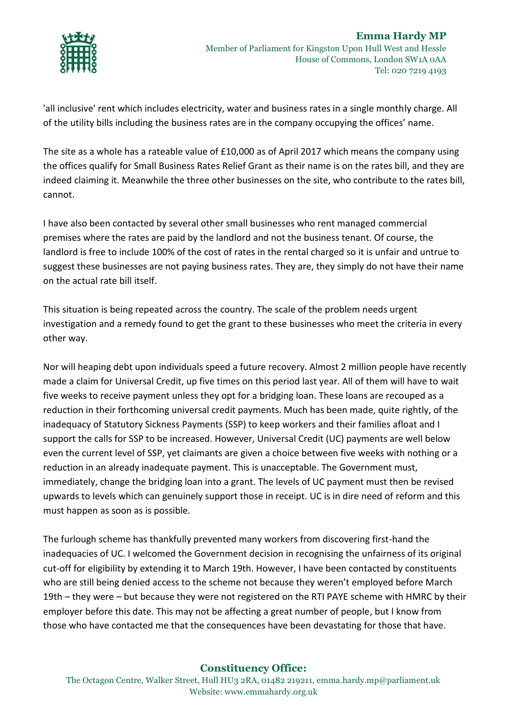

'all inclusive' rent which includes electricity, water and business rates in a single monthly charge. All of the utility bills including the business rates are in the company occupying the offices' name.

The site as a whole has a rateable value of £10,000 as of April 2017 which means the company using the offices qualify for Small Business Rates Relief Grant as their name is on the rates bill, and they are indeed claiming it. Meanwhile the three other businesses on the site, who contribute to the rates bill, cannot.

I have also been contacted by several other small businesses who rent managed commercial premises where the rates are paid by the landlord and not the business tenant. Of course, the landlord is free to include 100% of the cost of rates in the rental charged so it is unfair and untrue to suggest these businesses are not paying business rates. They are, they simply do not have their name on the actual rate bill itself.

This situation is being repeated across the country. The scale of the problem needs urgent investigation and a remedy found to get the grant to these businesses who meet the criteria in every other way.

Nor will heaping debt upon individuals speed a future recovery. Almost 2 million people have recently made a claim for Universal Credit, up five times on this period last year. All of them will have to wait five weeks to receive payment unless they opt for a bridging loan. These loans are recouped as a reduction in their forthcoming universal credit payments. Much has been made, quite rightly, of the inadequacy of Statutory Sickness Payments (SSP) to keep workers and their families afloat and I support the calls for SSP to be increased. However, Universal Credit (UC) payments are well below even the current level of SSP, yet claimants are given a choice between five weeks with nothing or a reduction in an already inadequate payment. This is unacceptable. The Government must, immediately, change the bridging loan into a grant. The levels of UC payment must then be revised upwards to levels which can genuinely support those in receipt. UC is in dire need of reform and this must happen as soon as is possible.

The furlough scheme has thankfully prevented many workers from discovering first-hand the inadequacies of UC. I welcomed the Government decision in recognising the unfairness of its original cut-off for eligibility by extending it to March 19th. However, I have been contacted by constituents who are still being denied access to the scheme not because they weren't employed before March 19th – they were – but because they were not registered on the RTI PAYE scheme with HMRC by their employer before this date. This may not be affecting a great number of people, but I know from those who have contacted me that the consequences have been devastating for those that have.

## **Constituency Office:**